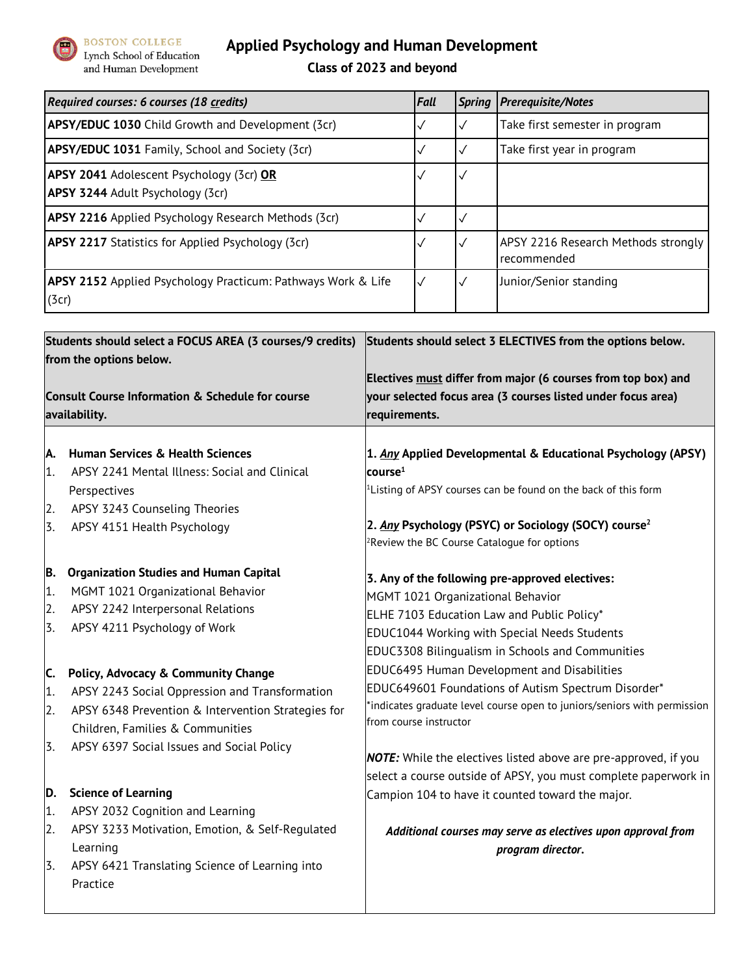

## **Applied Psychology and Human Development**

**Class of 2023 and beyond**

| Required courses: 6 courses (18 credits)                                                   | <b>Fall</b>  | <b>Spring</b> | <b>Prerequisite/Notes</b>                                  |
|--------------------------------------------------------------------------------------------|--------------|---------------|------------------------------------------------------------|
| <b>APSY/EDUC 1030</b> Child Growth and Development (3cr)                                   |              |               | Take first semester in program                             |
| <b>APSY/EDUC 1031</b> Family, School and Society (3cr)                                     |              |               | Take first year in program                                 |
| <b>APSY 2041</b> Adolescent Psychology (3cr) OR<br><b>APSY 3244</b> Adult Psychology (3cr) |              |               |                                                            |
| <b>APSY 2216</b> Applied Psychology Research Methods (3cr)                                 |              |               |                                                            |
| <b>APSY 2217</b> Statistics for Applied Psychology (3cr)                                   |              |               | APSY 2216 Research Methods strongly<br>recommended         |
| <b>APSY 2152</b> Applied Psychology Practicum: Pathways Work & Life<br>(3cr)               | $\checkmark$ |               | Junior/Senior standing                                     |
|                                                                                            |              |               |                                                            |
| Students should select a FOCUS AREA (3 courses/9 credits)<br>from the options below.       |              |               | Students should select 3 ELECTIVES from the options below. |

|                                                                              |                                                                   | Electives must differ from major (6 courses from top box) and     |  |  |  |  |
|------------------------------------------------------------------------------|-------------------------------------------------------------------|-------------------------------------------------------------------|--|--|--|--|
| <b>Consult Course Information &amp; Schedule for course</b><br>availability. |                                                                   | your selected focus area (3 courses listed under focus area)      |  |  |  |  |
|                                                                              |                                                                   | requirements.                                                     |  |  |  |  |
|                                                                              |                                                                   |                                                                   |  |  |  |  |
| А.                                                                           | <b>Human Services &amp; Health Sciences</b>                       | 1. Any Applied Developmental & Educational Psychology (APSY)      |  |  |  |  |
| 1.                                                                           | APSY 2241 Mental Illness: Social and Clinical                     | course $^{\rm 1}$                                                 |  |  |  |  |
|                                                                              | Perspectives                                                      | $1$ Listing of APSY courses can be found on the back of this form |  |  |  |  |
| 2.                                                                           | APSY 3243 Counseling Theories                                     |                                                                   |  |  |  |  |
| 3.                                                                           | APSY 4151 Health Psychology                                       | 2. Any Psychology (PSYC) or Sociology (SOCY) course <sup>2</sup>  |  |  |  |  |
|                                                                              |                                                                   | ${}^{2}$ Review the BC Course Catalogue for options               |  |  |  |  |
| B.                                                                           | <b>Organization Studies and Human Capital</b>                     | 3. Any of the following pre-approved electives:                   |  |  |  |  |
| 1.                                                                           | MGMT 1021 Organizational Behavior                                 | MGMT 1021 Organizational Behavior                                 |  |  |  |  |
| 2.                                                                           | APSY 2242 Interpersonal Relations<br>APSY 4211 Psychology of Work | ELHE 7103 Education Law and Public Policy*                        |  |  |  |  |
| 3.                                                                           |                                                                   | <b>EDUC1044 Working with Special Needs Students</b>               |  |  |  |  |
|                                                                              |                                                                   | <b>EDUC3308 Bilingualism in Schools and Communities</b>           |  |  |  |  |
| $\epsilon$                                                                   | <b>Dolicy, Advocacy 8. Community Change</b>                       | <b>EDUC6495 Human Development and Disabilities</b>                |  |  |  |  |

from course instructor

## **C. Policy, Advocacy & Community Change** 1. APSY 2243 Social Oppression and Transformation 2. APSY 6348 Prevention & Intervention Strategies for Children, Families & Communities

3. APSY 6397 Social Issues and Social Policy

## **D. Science of Learning**

- 1. APSY 2032 Cognition and Learning
- 2. APSY 3233 Motivation, Emotion, & Self-Regulated Learning
- 3. APSY 6421 Translating Science of Learning into Practice

*NOTE:* While the electives listed above are pre-approved, if you select a course outside of APSY, you must complete paperwork in Campion 104 to have it counted toward the major.

\*indicates graduate level course open to juniors/seniors with permission

EDUC649601 Foundations of Autism Spectrum Disorder\*

*Additional courses may serve as electives upon approval from program director.*